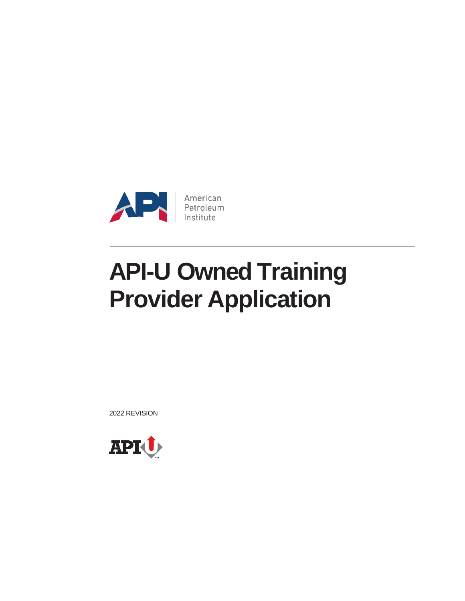

2022 REVISION

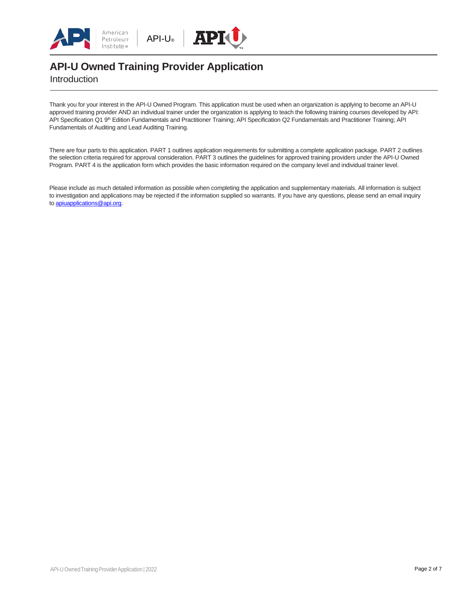





Introduction

Thank you for your interest in the API-U Owned Program. This application must be used when an organization is applying to become an API-U approved training provider AND an individual trainer under the organization is applying to teach the following training courses developed by API: API Specification Q1 9<sup>th</sup> Edition Fundamentals and Practitioner Training; API Specification Q2 Fundamentals and Practitioner Training; API Fundamentals of Auditing and Lead Auditing Training.

There are four parts to this application. PART 1 outlines application requirements for submitting a complete application package. PART 2 outlines the selection criteria required for approval consideration. PART 3 outlines the guidelines for approved training providers under the API-U Owned Program. PART 4 is the application form which provides the basic information required on the company level and individual trainer level.

Please include as much detailed information as possible when completing the application and supplementary materials. All information is subject to investigation and applications may be rejected if the information supplied so warrants. If you have any questions, please send an email inquiry t[o apiuapplications@api.org.](mailto:apiuapplications@api.org)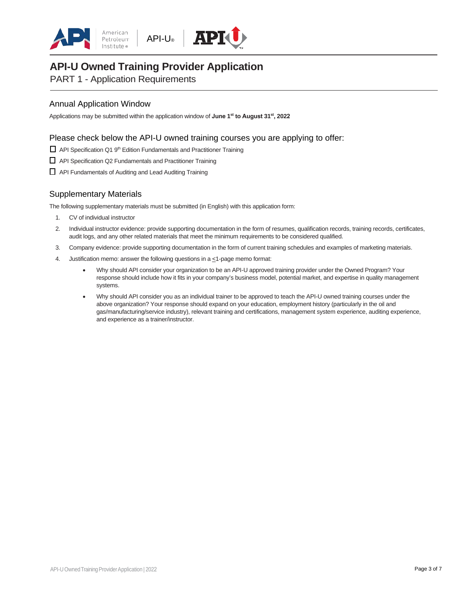





PART 1 - Application Requirements

### Annual Application Window

Applications may be submitted within the application window of **June 1 st to August 31st, 2022**

#### Please check below the API-U owned training courses you are applying to offer:

□ API Specification Q1 9<sup>th</sup> Edition Fundamentals and Practitioner Training

- □ API Specification Q2 Fundamentals and Practitioner Training
- □ API Fundamentals of Auditing and Lead Auditing Training

## Supplementary Materials

The following supplementary materials must be submitted (in English) with this application form:

- 1. CV of individual instructor
- 2. Individual instructor evidence: provide supporting documentation in the form of resumes, qualification records, training records, certificates, audit logs, and any other related materials that meet the minimum requirements to be considered qualified.
- 3. Company evidence: provide supporting documentation in the form of current training schedules and examples of marketing materials.
- 4. Justification memo: answer the following questions in a  $\leq$ 1-page memo format:
	- Why should API consider your organization to be an API-U approved training provider under the Owned Program? Your response should include how it fits in your company's business model, potential market, and expertise in quality management systems.
	- Why should API consider you as an individual trainer to be approved to teach the API-U owned training courses under the above organization? Your response should expand on your education, employment history (particularly in the oil and gas/manufacturing/service industry), relevant training and certifications, management system experience, auditing experience, and experience as a trainer/instructor.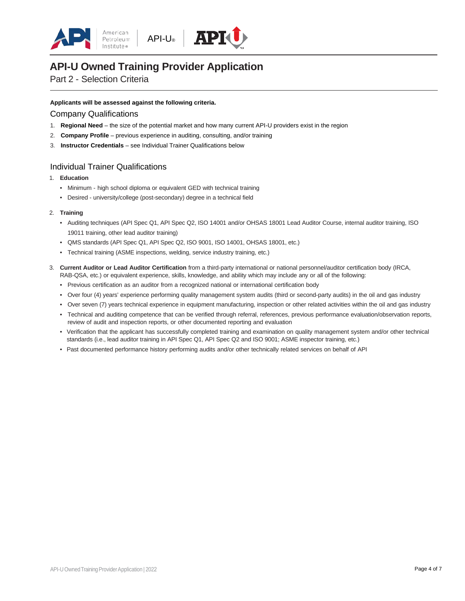



## Part 2 - Selection Criteria

#### **Applicants will be assessed against the following criteria.**

#### Company Qualifications

- 1. **Regional Need** the size of the potential market and how many current API-U providers exist in the region
- 2. **Company Profile** previous experience in auditing, consulting, and/or training
- 3. **Instructor Credentials** see Individual Trainer Qualifications below

#### Individual Trainer Qualifications

- 1. **Education**
	- Minimum high school diploma or equivalent GED with technical training
	- Desired university/college (post-secondary) degree in a technical field

#### 2. **Training**

- Auditing techniques (API Spec Q1, API Spec Q2, ISO 14001 and/or OHSAS 18001 Lead Auditor Course, internal auditor training, ISO 19011 training, other lead auditor training)
- QMS standards (API Spec Q1, API Spec Q2, ISO 9001, ISO 14001, OHSAS 18001, etc.)
- Technical training (ASME inspections, welding, service industry training, etc.)
- 3. **Current Auditor or Lead Auditor Certification** from a third-party international or national personnel/auditor certification body (IRCA, RAB-QSA, etc.) or equivalent experience, skills, knowledge, and ability which may include any or all of the following:
	- Previous certification as an auditor from a recognized national or international certification body
	- Over four (4) years' experience performing quality management system audits (third or second-party audits) in the oil and gas industry
	- Over seven (7) years technical experience in equipment manufacturing, inspection or other related activities within the oil and gas industry
	- Technical and auditing competence that can be verified through referral, references, previous performance evaluation/observation reports, review of audit and inspection reports, or other documented reporting and evaluation
	- Verification that the applicant has successfully completed training and examination on quality management system and/or other technical standards (i.e., lead auditor training in API Spec Q1, API Spec Q2 and ISO 9001; ASME inspector training, etc.)
	- Past documented performance history performing audits and/or other technically related services on behalf of API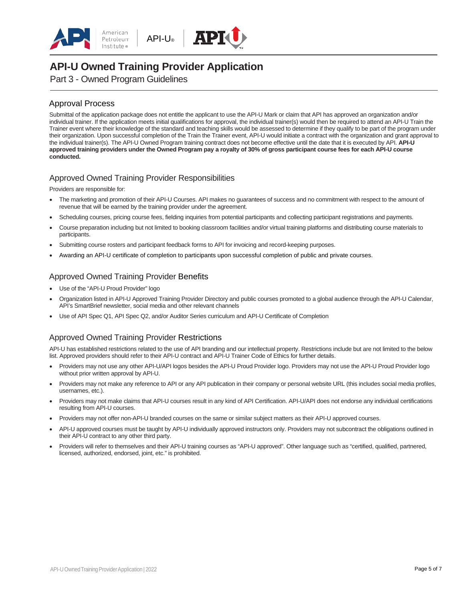





Part 3 - Owned Program Guidelines

#### Approval Process

Submittal of the application package does not entitle the applicant to use the API-U Mark or claim that API has approved an organization and/or individual trainer. If the application meets initial qualifications for approval, the individual trainer(s) would then be required to attend an API-U Train the Trainer event where their knowledge of the standard and teaching skills would be assessed to determine if they qualify to be part of the program under their organization. Upon successful completion of the Train the Trainer event, API-U would initiate a contract with the organization and grant approval to the individual trainer(s). The API-U Owned Program training contract does not become effective until the date that it is executed by API. **API-U approved training providers under the Owned Program pay a royalty of 30% of gross participant course fees for each API-U course conducted.**

#### Approved Owned Training Provider Responsibilities

Providers are responsible for:

- The marketing and promotion of their API-U Courses. API makes no guarantees of success and no commitment with respect to the amount of revenue that will be earned by the training provider under the agreement.
- Scheduling courses, pricing course fees, fielding inquiries from potential participants and collecting participant registrations and payments.
- Course preparation including but not limited to booking classroom facilities and/or virtual training platforms and distributing course materials to participants.
- Submitting course rosters and participant feedback forms to API for invoicing and record-keeping purposes.
- Awarding an API-U certificate of completion to participants upon successful completion of public and private courses.

#### Approved Owned Training Provider Benefits

- Use of the "API-U Proud Provider" logo
- Organization listed in API-U Approved Training Provider Directory and public courses promoted to a global audience through the API-U Calendar, API's SmartBrief newsletter, social media and other relevant channels
- Use of API Spec Q1, API Spec Q2, and/or Auditor Series curriculum and API-U Certificate of Completion

#### Approved Owned Training Provider Restrictions

API-U has established restrictions related to the use of API branding and our intellectual property. Restrictions include but are not limited to the below list. Approved providers should refer to their API-U contract and API-U Trainer Code of Ethics for further details.

- Providers may not use any other API-U/API logos besides the API-U Proud Provider logo. Providers may not use the API-U Proud Provider logo without prior written approval by API-U.
- Providers may not make any reference to API or any API publication in their company or personal website URL (this includes social media profiles, usernames, etc.).
- Providers may not make claims that API-U courses result in any kind of API Certification. API-U/API does not endorse any individual certifications resulting from API-U courses.
- Providers may not offer non-API-U branded courses on the same or similar subject matters as their API-U approved courses.
- API-U approved courses must be taught by API-U individually approved instructors only. Providers may not subcontract the obligations outlined in their API-U contract to any other third party.
- Providers will refer to themselves and their API-U training courses as "API-U approved". Other language such as "certified, qualified, partnered, licensed, authorized, endorsed, joint, etc." is prohibited.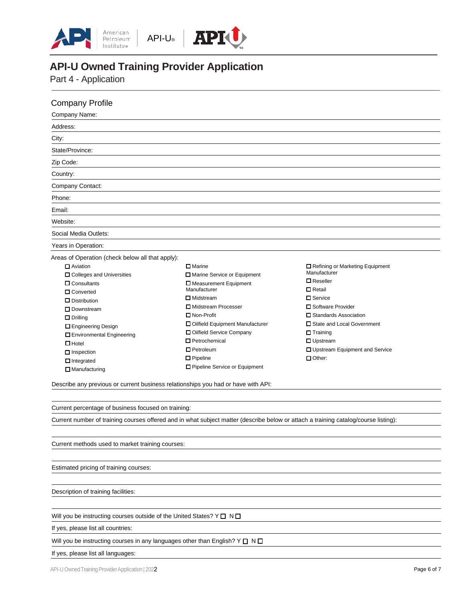





Part 4 - Application

Company Profile

❑ Drilling

❑ Hotel ❑ Inspection ❑ Integrated ❑ Manufacturing

❑ Engineering Design

| Company Name:                                                                                                                                                                                                                                 |                               |                                                                    |
|-----------------------------------------------------------------------------------------------------------------------------------------------------------------------------------------------------------------------------------------------|-------------------------------|--------------------------------------------------------------------|
| Address:                                                                                                                                                                                                                                      |                               |                                                                    |
| City:                                                                                                                                                                                                                                         |                               |                                                                    |
| State/Province:                                                                                                                                                                                                                               |                               |                                                                    |
| Zip Code:                                                                                                                                                                                                                                     |                               |                                                                    |
| Country:                                                                                                                                                                                                                                      |                               |                                                                    |
| Company Contact:                                                                                                                                                                                                                              |                               |                                                                    |
| Phone:                                                                                                                                                                                                                                        |                               |                                                                    |
| Email:                                                                                                                                                                                                                                        |                               |                                                                    |
| Website:                                                                                                                                                                                                                                      |                               |                                                                    |
| Social Media Outlets:                                                                                                                                                                                                                         |                               |                                                                    |
| Years in Operation:                                                                                                                                                                                                                           |                               |                                                                    |
| Areas of Operation (check below all that apply):                                                                                                                                                                                              |                               |                                                                    |
| $\Box$ Marine<br>$\Box$ Aviation<br>$\Box$ Colleges and Universities<br>$\Box$ Consultants<br>□ Measurement Equipment<br>Manufacturer<br>□ Converted<br>$\Box$ Midstream<br>$\Box$ Distribution<br>□ Midstream Processer<br>$\Box$ Downstream | □ Marine Service or Equipment | Refining or Marketing Equipment<br>Manufacturer<br>$\Box$ Reseller |
|                                                                                                                                                                                                                                               |                               | $\Box$ Retail<br>$\Box$ Service<br>□ Software Provider             |

❑ Environmental Engineering ❑ Non-Profit ❑ Oilfield Equipment Manufacturer ❑ Oilfield Service Company ❑ Petrochemical ❑ Petroleum ❑ Pipeline ❑ Pipeline Service or Equipment

❑ Software Provider ❑ Standards Association ❑ State and Local Government ❑ Training ❑ Upstream ❑ Upstream Equipment and Service ❑ Other:

Describe any previous or current business relationships you had or have with API:

Current percentage of business focused on training:

Current number of training courses offered and in what subject matter (describe below or attach a training catalog/course listing):

Current methods used to market training courses:

Estimated pricing of training courses:

Description of training facilities:

Will you be instructing courses outside of the United States? Y □ N □

If yes, please list all countries:

Will you be instructing courses in any languages other than English? Y  $\Box$  N  $\Box$ 

If yes, please list all languages: